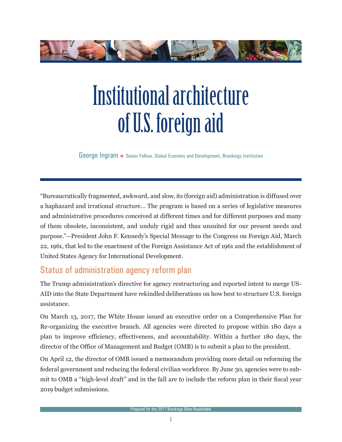

# Institutional architecture of U.S. foreign aid

George Ingram • Senior Fellow, Global Economy and Development, Brookings Institution

"Bureaucratically fragmented, awkward, and slow, its (foreign aid) administration is diffused over a haphazard and irrational structure… The program is based on a series of legislative measures and administrative procedures conceived at different times and for different purposes and many of them obsolete, inconsistent, and unduly rigid and thus unsuited for our present needs and purpose."—President John F. Kennedy's Special Message to the Congress on Foreign Aid, March 22, 1961, that led to the enactment of the Foreign Assistance Act of 1961 and the establishment of United States Agency for International Development.

## Status of administration agency reform plan

The Trump administration's directive for agency restructuring and reported intent to merge US-AID into the State Department have rekindled deliberations on how best to structure U.S. foreign assistance.

On March 13, 2017, the White House issued an executive order on a Comprehensive Plan for Re-organizing the executive branch. All agencies were directed to propose within 180 days a plan to improve efficiency, effectiveness, and accountability. Within a further 180 days, the director of the Office of Management and Budget (OMB) is to submit a plan to the president.

On April 12, the director of OMB issued a memorandum providing more detail on reforming the federal government and reducing the federal civilian workforce. By June 30, agencies were to submit to OMB a "high-level draft" and in the fall are to include the reform plan in their fiscal year 2019 budget submissions.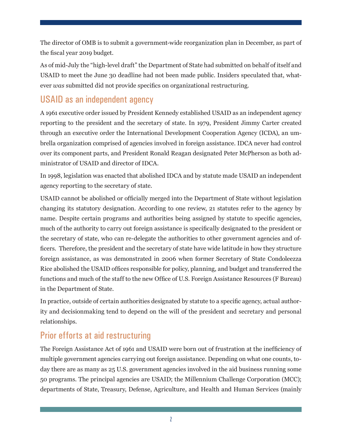The director of OMB is to submit a government-wide reorganization plan in December, as part of the fiscal year 2019 budget.

As of mid-July the "high-level draft" the Department of State had submitted on behalf of itself and USAID to meet the June 30 deadline had not been made public. Insiders speculated that, whatever *was* submitted did not provide specifics on organizational restructuring.

## USAID as an independent agency

A 1961 executive order issued by President Kennedy established USAID as an independent agency reporting to the president and the secretary of state. In 1979, President Jimmy Carter created through an executive order the International Development Cooperation Agency (ICDA), an umbrella organization comprised of agencies involved in foreign assistance. IDCA never had control over its component parts, and President Ronald Reagan designated Peter McPherson as both administrator of USAID and director of IDCA.

In 1998, legislation was enacted that abolished IDCA and by statute made USAID an independent agency reporting to the secretary of state.

USAID cannot be abolished or officially merged into the Department of State without legislation changing its statutory designation. According to one review, 21 statutes refer to the agency by name. Despite certain programs and authorities being assigned by statute to specific agencies, much of the authority to carry out foreign assistance is specifically designated to the president or the secretary of state, who can re-delegate the authorities to other government agencies and officers. Therefore, the president and the secretary of state have wide latitude in how they structure foreign assistance, as was demonstrated in 2006 when former Secretary of State Condoleezza Rice abolished the USAID offices responsible for policy, planning, and budget and transferred the functions and much of the staff to the new Office of U.S. Foreign Assistance Resources (F Bureau) in the Department of State.

In practice, outside of certain authorities designated by statute to a specific agency, actual authority and decisionmaking tend to depend on the will of the president and secretary and personal relationships.

## Prior efforts at aid restructuring

The Foreign Assistance Act of 1961 and USAID were born out of frustration at the inefficiency of multiple government agencies carrying out foreign assistance. Depending on what one counts, today there are as many as 25 U.S. government agencies involved in the aid business running some 50 programs. The principal agencies are USAID; the Millennium Challenge Corporation (MCC); departments of State, Treasury, Defense, Agriculture, and Health and Human Services (mainly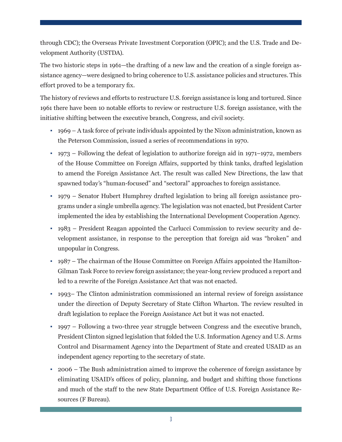through CDC); the Overseas Private Investment Corporation (OPIC); and the U.S. Trade and Development Authority (USTDA).

The two historic steps in 1961—the drafting of a new law and the creation of a single foreign assistance agency—were designed to bring coherence to U.S. assistance policies and structures. This effort proved to be a temporary fix.

The history of reviews and efforts to restructure U.S. foreign assistance is long and tortured. Since 1961 there have been 10 notable efforts to review or restructure U.S. foreign assistance, with the initiative shifting between the executive branch, Congress, and civil society.

- 1969 A task force of private individuals appointed by the Nixon administration, known as the Peterson Commission, issued a series of recommendations in 1970.
- 1973 Following the defeat of legislation to authorize foreign aid in 1971–1972, members of the House Committee on Foreign Affairs, supported by think tanks, drafted legislation to amend the Foreign Assistance Act. The result was called New Directions, the law that spawned today's "human-focused" and "sectoral" approaches to foreign assistance.
- 1979 Senator Hubert Humphrey drafted legislation to bring all foreign assistance programs under a single umbrella agency. The legislation was not enacted, but President Carter implemented the idea by establishing the International Development Cooperation Agency.
- 1983 President Reagan appointed the Carlucci Commission to review security and development assistance, in response to the perception that foreign aid was "broken" and unpopular in Congress.
- 1987 The chairman of the House Committee on Foreign Affairs appointed the Hamilton-Gilman Task Force to review foreign assistance; the year-long review produced a report and led to a rewrite of the Foreign Assistance Act that was not enacted.
- 1993– The Clinton administration commissioned an internal review of foreign assistance under the direction of Deputy Secretary of State Clifton Wharton. The review resulted in draft legislation to replace the Foreign Assistance Act but it was not enacted.
- 1997 Following a two-three year struggle between Congress and the executive branch, President Clinton signed legislation that folded the U.S. Information Agency and U.S. Arms Control and Disarmament Agency into the Department of State and created USAID as an independent agency reporting to the secretary of state.
- 2006 The Bush administration aimed to improve the coherence of foreign assistance by eliminating USAID's offices of policy, planning, and budget and shifting those functions and much of the staff to the new State Department Office of U.S. Foreign Assistance Resources (F Bureau).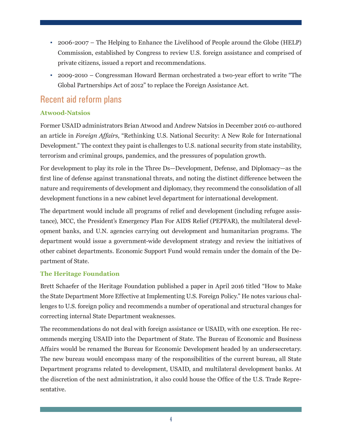- 2006-2007 The Helping to Enhance the Livelihood of People around the Globe (HELP) Commission, established by Congress to review U.S. foreign assistance and comprised of private citizens, issued a report and recommendations.
- 2009-2010 Congressman Howard Berman orchestrated a two-year effort to write "The Global Partnerships Act of 2012" to replace the Foreign Assistance Act.

## Recent aid reform plans

#### **Atwood-Natsios**

Former USAID administrators Brian Atwood and Andrew Natsios in December 2016 co-authored an article in *Foreign Affairs*, "Rethinking U.S. National Security: A New Role for International Development." The context they paint is challenges to U.S. national security from state instability, terrorism and criminal groups, pandemics, and the pressures of population growth.

For development to play its role in the Three Ds—Development, Defense, and Diplomacy—as the first line of defense against transnational threats, and noting the distinct difference between the nature and requirements of development and diplomacy, they recommend the consolidation of all development functions in a new cabinet level department for international development.

The department would include all programs of relief and development (including refugee assistance), MCC, the President's Emergency Plan For AIDS Relief (PEPFAR), the multilateral development banks, and U.N. agencies carrying out development and humanitarian programs. The department would issue a government-wide development strategy and review the initiatives of other cabinet departments. Economic Support Fund would remain under the domain of the Department of State.

#### **The Heritage Foundation**

Brett Schaefer of the Heritage Foundation published a paper in April 2016 titled "How to Make the State Department More Effective at Implementing U.S. Foreign Policy." He notes various challenges to U.S. foreign policy and recommends a number of operational and structural changes for correcting internal State Department weaknesses.

The recommendations do not deal with foreign assistance or USAID, with one exception. He recommends merging USAID into the Department of State. The Bureau of Economic and Business Affairs would be renamed the Bureau for Economic Development headed by an undersecretary. The new bureau would encompass many of the responsibilities of the current bureau, all State Department programs related to development, USAID, and multilateral development banks. At the discretion of the next administration, it also could house the Office of the U.S. Trade Representative.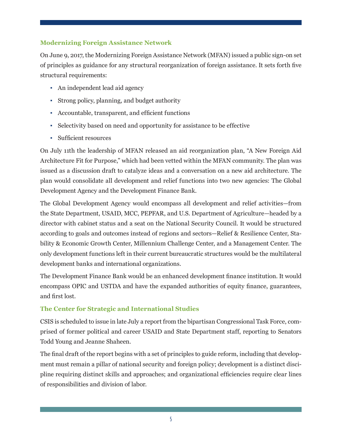#### **Modernizing Foreign Assistance Network**

On June 9, 2017, the Modernizing Foreign Assistance Network (MFAN) issued a public sign-on set of principles as guidance for any structural reorganization of foreign assistance. It sets forth five structural requirements:

- An independent lead aid agency
- Strong policy, planning, and budget authority
- Accountable, transparent, and efficient functions
- Selectivity based on need and opportunity for assistance to be effective
- Sufficient resources

On July 11th the leadership of MFAN released an aid reorganization plan, "A New Foreign Aid Architecture Fit for Purpose," which had been vetted within the MFAN community. The plan was issued as a discussion draft to catalyze ideas and a conversation on a new aid architecture. The plan would consolidate all development and relief functions into two new agencies: The Global Development Agency and the Development Finance Bank.

The Global Development Agency would encompass all development and relief activities—from the State Department, USAID, MCC, PEPFAR, and U.S. Department of Agriculture—headed by a director with cabinet status and a seat on the National Security Council. It would be structured according to goals and outcomes instead of regions and sectors—Relief & Resilience Center, Stability & Economic Growth Center, Millennium Challenge Center, and a Management Center. The only development functions left in their current bureaucratic structures would be the multilateral development banks and international organizations.

The Development Finance Bank would be an enhanced development finance institution. It would encompass OPIC and USTDA and have the expanded authorities of equity finance, guarantees, and first lost.

#### **The Center for Strategic and International Studies**

CSIS is scheduled to issue in late July a report from the bipartisan Congressional Task Force, comprised of former political and career USAID and State Department staff, reporting to Senators Todd Young and Jeanne Shaheen.

The final draft of the report begins with a set of principles to guide reform, including that development must remain a pillar of national security and foreign policy; development is a distinct discipline requiring distinct skills and approaches; and organizational efficiencies require clear lines of responsibilities and division of labor.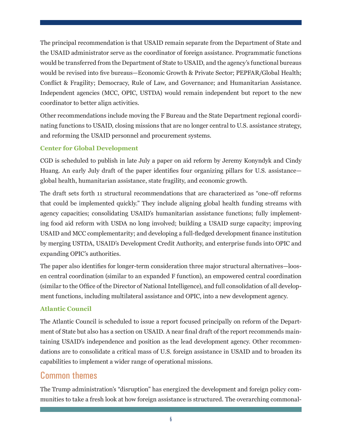The principal recommendation is that USAID remain separate from the Department of State and the USAID administrator serve as the coordinator of foreign assistance. Programmatic functions would be transferred from the Department of State to USAID, and the agency's functional bureaus would be revised into five bureaus—Economic Growth & Private Sector; PEPFAR/Global Health; Conflict & Fragility; Democracy, Rule of Law, and Governance; and Humanitarian Assistance. Independent agencies (MCC, OPIC, USTDA) would remain independent but report to the new coordinator to better align activities.

Other recommendations include moving the F Bureau and the State Department regional coordinating functions to USAID, closing missions that are no longer central to U.S. assistance strategy, and reforming the USAID personnel and procurement systems.

#### **Center for Global Development**

CGD is scheduled to publish in late July a paper on aid reform by Jeremy Konyndyk and Cindy Huang. An early July draft of the paper identifies four organizing pillars for U.S. assistance global health, humanitarian assistance, state fragility, and economic growth.

The draft sets forth 11 structural recommendations that are characterized as "one-off reforms that could be implemented quickly." They include aligning global health funding streams with agency capacities; consolidating USAID's humanitarian assistance functions; fully implementing food aid reform with USDA no long involved; building a USAID surge capacity; improving USAID and MCC complementarity; and developing a full-fledged development finance institution by merging USTDA, USAID's Development Credit Authority, and enterprise funds into OPIC and expanding OPIC's authorities.

The paper also identifies for longer-term consideration three major structural alternatives—loosen central coordination (similar to an expanded F function), an empowered central coordination (similar to the Office of the Director of National Intelligence), and full consolidation of all development functions, including multilateral assistance and OPIC, into a new development agency.

#### **Atlantic Council**

The Atlantic Council is scheduled to issue a report focused principally on reform of the Department of State but also has a section on USAID. A near final draft of the report recommends maintaining USAID's independence and position as the lead development agency. Other recommendations are to consolidate a critical mass of U.S. foreign assistance in USAID and to broaden its capabilities to implement a wider range of operational missions.

### Common themes

The Trump administration's "disruption" has energized the development and foreign policy communities to take a fresh look at how foreign assistance is structured. The overarching commonal